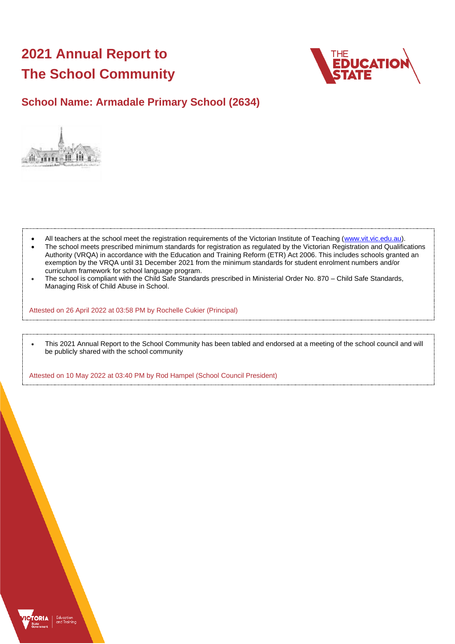# **2021 Annual Report to The School Community**



## **School Name: Armadale Primary School (2634)**



- All teachers at the school meet the registration requirements of the Victorian Institute of Teaching [\(www.vit.vic.edu.au\)](https://www.vit.vic.edu.au/).
- The school meets prescribed minimum standards for registration as regulated by the Victorian Registration and Qualifications Authority (VRQA) in accordance with the Education and Training Reform (ETR) Act 2006. This includes schools granted an exemption by the VRQA until 31 December 2021 from the minimum standards for student enrolment numbers and/or curriculum framework for school language program.
- The school is compliant with the Child Safe Standards prescribed in Ministerial Order No. 870 Child Safe Standards, Managing Risk of Child Abuse in School.

Attested on 26 April 2022 at 03:58 PM by Rochelle Cukier (Principal)

• This 2021 Annual Report to the School Community has been tabled and endorsed at a meeting of the school council and will be publicly shared with the school community

Attested on 10 May 2022 at 03:40 PM by Rod Hampel (School Council President)

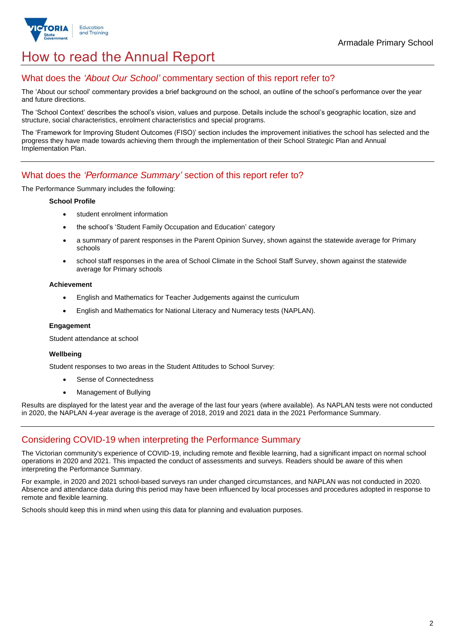

## How to read the Annual Report

## What does the *'About Our School'* commentary section of this report refer to?

The 'About our school' commentary provides a brief background on the school, an outline of the school's performance over the year and future directions.

The 'School Context' describes the school's vision, values and purpose. Details include the school's geographic location, size and structure, social characteristics, enrolment characteristics and special programs.

The 'Framework for Improving Student Outcomes (FISO)' section includes the improvement initiatives the school has selected and the progress they have made towards achieving them through the implementation of their School Strategic Plan and Annual Implementation Plan.

## What does the *'Performance Summary'* section of this report refer to?

The Performance Summary includes the following:

### **School Profile**

- student enrolment information
- the school's 'Student Family Occupation and Education' category
- a summary of parent responses in the Parent Opinion Survey, shown against the statewide average for Primary schools
- school staff responses in the area of School Climate in the School Staff Survey, shown against the statewide average for Primary schools

### **Achievement**

- English and Mathematics for Teacher Judgements against the curriculum
- English and Mathematics for National Literacy and Numeracy tests (NAPLAN).

### **Engagement**

Student attendance at school

### **Wellbeing**

Student responses to two areas in the Student Attitudes to School Survey:

- Sense of Connectedness
- Management of Bullying

Results are displayed for the latest year and the average of the last four years (where available). As NAPLAN tests were not conducted in 2020, the NAPLAN 4-year average is the average of 2018, 2019 and 2021 data in the 2021 Performance Summary.

## Considering COVID-19 when interpreting the Performance Summary

The Victorian community's experience of COVID-19, including remote and flexible learning, had a significant impact on normal school operations in 2020 and 2021. This impacted the conduct of assessments and surveys. Readers should be aware of this when interpreting the Performance Summary.

For example, in 2020 and 2021 school-based surveys ran under changed circumstances, and NAPLAN was not conducted in 2020. Absence and attendance data during this period may have been influenced by local processes and procedures adopted in response to remote and flexible learning.

Schools should keep this in mind when using this data for planning and evaluation purposes.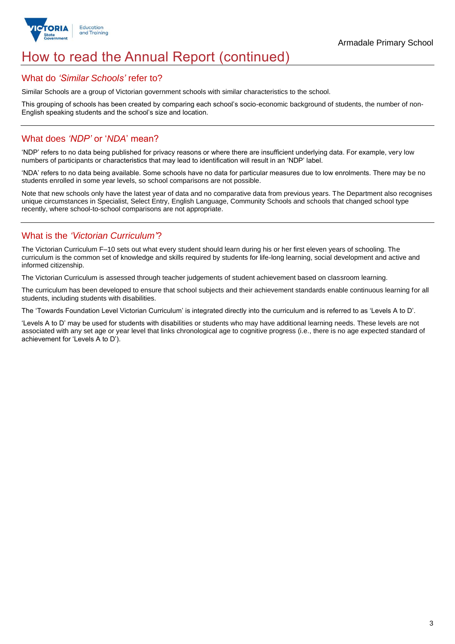

## How to read the Annual Report (continued)

### What do *'Similar Schools'* refer to?

Similar Schools are a group of Victorian government schools with similar characteristics to the school.

This grouping of schools has been created by comparing each school's socio-economic background of students, the number of non-English speaking students and the school's size and location.

## What does *'NDP'* or '*NDA*' mean?

'NDP' refers to no data being published for privacy reasons or where there are insufficient underlying data. For example, very low numbers of participants or characteristics that may lead to identification will result in an 'NDP' label.

'NDA' refers to no data being available. Some schools have no data for particular measures due to low enrolments. There may be no students enrolled in some year levels, so school comparisons are not possible.

Note that new schools only have the latest year of data and no comparative data from previous years. The Department also recognises unique circumstances in Specialist, Select Entry, English Language, Community Schools and schools that changed school type recently, where school-to-school comparisons are not appropriate.

## What is the *'Victorian Curriculum'*?

The Victorian Curriculum F–10 sets out what every student should learn during his or her first eleven years of schooling. The curriculum is the common set of knowledge and skills required by students for life-long learning, social development and active and informed citizenship.

The Victorian Curriculum is assessed through teacher judgements of student achievement based on classroom learning.

The curriculum has been developed to ensure that school subjects and their achievement standards enable continuous learning for all students, including students with disabilities.

The 'Towards Foundation Level Victorian Curriculum' is integrated directly into the curriculum and is referred to as 'Levels A to D'.

'Levels A to D' may be used for students with disabilities or students who may have additional learning needs. These levels are not associated with any set age or year level that links chronological age to cognitive progress (i.e., there is no age expected standard of achievement for 'Levels A to D').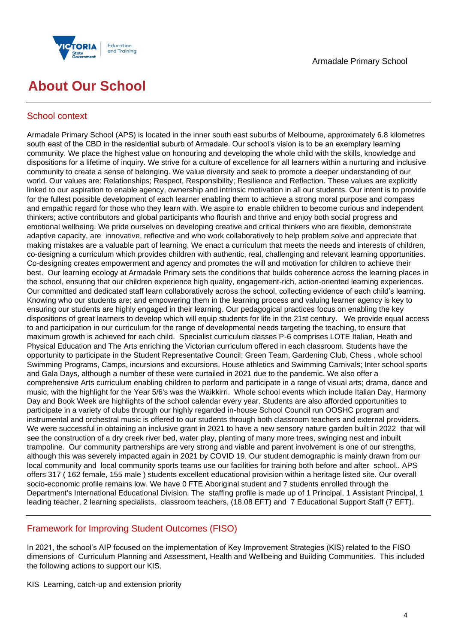



## **About Our School**

## School context

Armadale Primary School (APS) is located in the inner south east suburbs of Melbourne, approximately 6.8 kilometres south east of the CBD in the residential suburb of Armadale. Our school's vision is to be an exemplary learning community. We place the highest value on honouring and developing the whole child with the skills, knowledge and dispositions for a lifetime of inquiry. We strive for a culture of excellence for all learners within a nurturing and inclusive community to create a sense of belonging. We value diversity and seek to promote a deeper understanding of our world. Our values are: Relationships; Respect, Responsibility; Resilience and Reflection. These values are explicitly linked to our aspiration to enable agency, ownership and intrinsic motivation in all our students. Our intent is to provide for the fullest possible development of each learner enabling them to achieve a strong moral purpose and compass and empathic regard for those who they learn with. We aspire to enable children to become curious and independent thinkers; active contributors and global participants who flourish and thrive and enjoy both social progress and emotional wellbeing. We pride ourselves on developing creative and critical thinkers who are flexible, demonstrate adaptive capacity, are innovative, reflective and who work collaboratively to help problem solve and appreciate that making mistakes are a valuable part of learning. We enact a curriculum that meets the needs and interests of children, co-designing a curriculum which provides children with authentic, real, challenging and relevant learning opportunities. Co-designing creates empowerment and agency and promotes the will and motivation for children to achieve their best. Our learning ecology at Armadale Primary sets the conditions that builds coherence across the learning places in the school, ensuring that our children experience high quality, engagement-rich, action-oriented learning experiences. Our committed and dedicated staff learn collaboratively across the school, collecting evidence of each child's learning. Knowing who our students are; and empowering them in the learning process and valuing learner agency is key to ensuring our students are highly engaged in their learning. Our pedagogical practices focus on enabling the key dispositions of great learners to develop which will equip students for life in the 21st century. We provide equal access to and participation in our curriculum for the range of developmental needs targeting the teaching, to ensure that maximum growth is achieved for each child. Specialist curriculum classes P-6 comprises LOTE Italian, Heath and Physical Education and The Arts enriching the Victorian curriculum offered in each classroom. Students have the opportunity to participate in the Student Representative Council; Green Team, Gardening Club, Chess , whole school Swimming Programs, Camps, incursions and excursions, House athletics and Swimming Carnivals; Inter school sports and Gala Days, although a number of these were curtailed in 2021 due to the pandemic. We also offer a comprehensive Arts curriculum enabling children to perform and participate in a range of visual arts; drama, dance and music, with the highlight for the Year 5/6's was the Waikkirri. Whole school events which include Italian Day, Harmony Day and Book Week are highlights of the school calendar every year. Students are also afforded opportunities to participate in a variety of clubs through our highly regarded in-house School Council run OOSHC program and instrumental and orchestral music is offered to our students through both classroom teachers and external providers. We were successful in obtaining an inclusive grant in 2021 to have a new sensory nature garden built in 2022 that will see the construction of a dry creek river bed, water play, planting of many more trees, swinging nest and inbuilt trampoline. Our community partnerships are very strong and viable and parent involvement is one of our strengths, although this was severely impacted again in 2021 by COVID 19. Our student demographic is mainly drawn from our local community and local community sports teams use our facilities for training both before and after school.. APS offers 317 ( 162 female, 155 male ) students excellent educational provision within a heritage listed site. Our overall socio-economic profile remains low. We have 0 FTE Aboriginal student and 7 students enrolled through the Department's International Educational Division. The staffing profile is made up of 1 Principal, 1 Assistant Principal, 1 leading teacher, 2 learning specialists, classroom teachers, (18.08 EFT) and 7 Educational Support Staff (7 EFT).

## Framework for Improving Student Outcomes (FISO)

In 2021, the school's AIP focused on the implementation of Key Improvement Strategies (KIS) related to the FISO dimensions of Curriculum Planning and Assessment, Health and Wellbeing and Building Communities. This included the following actions to support our KIS.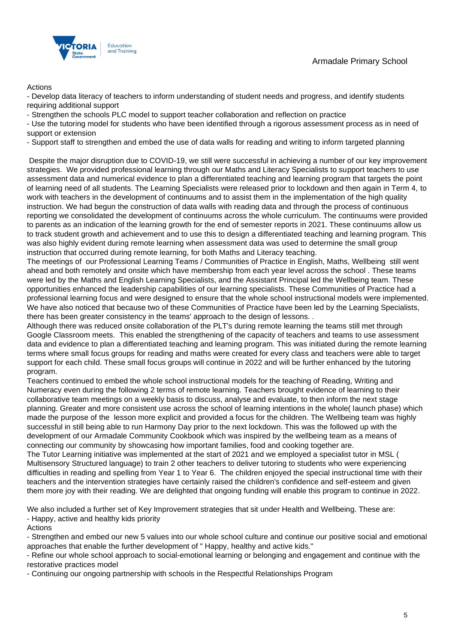

### Actions

- Develop data literacy of teachers to inform understanding of student needs and progress, and identify students requiring additional support

- Strengthen the schools PLC model to support teacher collaboration and reflection on practice

- Use the tutoring model for students who have been identified through a rigorous assessment process as in need of support or extension

- Support staff to strengthen and embed the use of data walls for reading and writing to inform targeted planning

Despite the major disruption due to COVID-19, we still were successful in achieving a number of our key improvement strategies. We provided professional learning through our Maths and Literacy Specialists to support teachers to use assessment data and numerical evidence to plan a differentiated teaching and learning program that targets the point of learning need of all students. The Learning Specialists were released prior to lockdown and then again in Term 4, to work with teachers in the development of continuums and to assist them in the implementation of the high quality instruction. We had begun the construction of data walls with reading data and through the process of continuous reporting we consolidated the development of continuums across the whole curriculum. The continuums were provided to parents as an indication of the learning growth for the end of semester reports in 2021. These continuums allow us to track student growth and achievement and to use this to design a differentiated teaching and learning program. This was also highly evident during remote learning when assessment data was used to determine the small group instruction that occurred during remote learning, for both Maths and Literacy teaching.

The meetings of our Professional Learning Teams / Communities of Practice in English, Maths, Wellbeing still went ahead and both remotely and onsite which have membership from each year level across the school . These teams were led by the Maths and English Learning Specialists, and the Assistant Principal led the Wellbeing team. These opportunities enhanced the leadership capabilities of our learning specialists. These Communities of Practice had a professional learning focus and were designed to ensure that the whole school instructional models were implemented. We have also noticed that because two of these Communities of Practice have been led by the Learning Specialists, there has been greater consistency in the teams' approach to the design of lessons. .

Although there was reduced onsite collaboration of the PLT's during remote learning the teams still met through Google Classroom meets. This enabled the strengthening of the capacity of teachers and teams to use assessment data and evidence to plan a differentiated teaching and learning program. This was initiated during the remote learning terms where small focus groups for reading and maths were created for every class and teachers were able to target support for each child. These small focus groups will continue in 2022 and will be further enhanced by the tutoring program.

Teachers continued to embed the whole school instructional models for the teaching of Reading, Writing and Numeracy even during the following 2 terms of remote learning. Teachers brought evidence of learning to their collaborative team meetings on a weekly basis to discuss, analyse and evaluate, to then inform the next stage planning. Greater and more consistent use across the school of learning intentions in the whole( launch phase) which made the purpose of the lesson more explicit and provided a focus for the children. The Wellbeing team was highly successful in still being able to run Harmony Day prior to the next lockdown. This was the followed up with the development of our Armadale Community Cookbook which was inspired by the wellbeing team as a means of connecting our community by showcasing how important families, food and cooking together are.

The Tutor Learning initiative was implemented at the start of 2021 and we employed a specialist tutor in MSL ( Multisensory Structured language) to train 2 other teachers to deliver tutoring to students who were experiencing difficulties in reading and spelling from Year 1 to Year 6. The children enjoyed the special instructional time with their teachers and the intervention strategies have certainly raised the children's confidence and self-esteem and given them more joy with their reading. We are delighted that ongoing funding will enable this program to continue in 2022.

We also included a further set of Key Improvement strategies that sit under Health and Wellbeing. These are: - Happy, active and healthy kids priority

Actions

- Strengthen and embed our new 5 values into our whole school culture and continue our positive social and emotional approaches that enable the further development of " Happy, healthy and active kids."

- Refine our whole school approach to social-emotional learning or belonging and engagement and continue with the restorative practices model

- Continuing our ongoing partnership with schools in the Respectful Relationships Program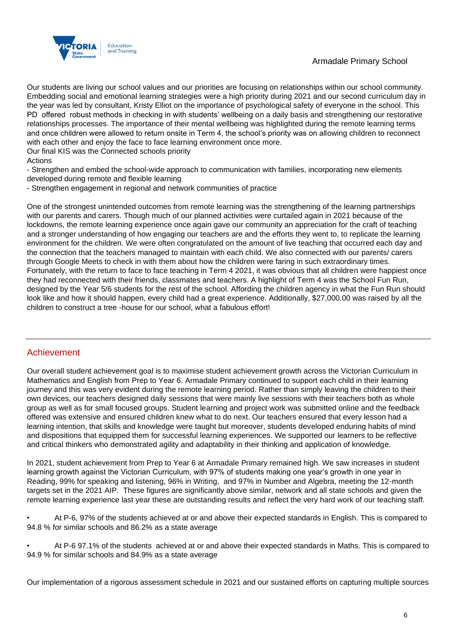

Our students are living our school values and our priorities are focusing on relationships within our school community. Embedding social and emotional learning strategies were a high priority during 2021 and our second curriculum day in the year was led by consultant, Kristy Elliot on the importance of psychological safety of everyone in the school. This PD offered robust methods in checking in with students' wellbeing on a daily basis and strengthening our restorative relationships processes. The importance of their mental wellbeing was highlighted during the remote learning terms and once children were allowed to return onsite in Term 4, the school's priority was on allowing children to reconnect with each other and enjoy the face to face learning environment once more.

Our final KIS was the Connected schools priority

### Actions

- Strengthen and embed the school-wide approach to communication with families, incorporating new elements developed during remote and flexible learning

- Strengthen engagement in regional and network communities of practice

One of the strongest unintended outcomes from remote learning was the strengthening of the learning partnerships with our parents and carers. Though much of our planned activities were curtailed again in 2021 because of the lockdowns, the remote learning experience once again gave our community an appreciation for the craft of teaching and a stronger understanding of how engaging our teachers are and the efforts they went to, to replicate the learning environment for the children. We were often congratulated on the amount of live teaching that occurred each day and the connection that the teachers managed to maintain with each child. We also connected with our parents/ carers through Google Meets to check in with them about how the children were faring in such extraordinary times. Fortunately, with the return to face to face teaching in Term 4 2021, it was obvious that all children were happiest once they had reconnected with their friends, classmates and teachers. A highlight of Term 4 was the School Fun Run, designed by the Year 5/6 students for the rest of the school. Affording the children agency in what the Fun Run should look like and how it should happen, every child had a great experience. Additionally, \$27,000.00 was raised by all the children to construct a tree -house for our school, what a fabulous effort!

### Achievement

Our overall student achievement goal is to maximise student achievement growth across the Victorian Curriculum in Mathematics and English from Prep to Year 6. Armadale Primary continued to support each child in their learning journey and this was very evident during the remote learning period. Rather than simply leaving the children to their own devices, our teachers designed daily sessions that were mainly live sessions with their teachers both as whole group as well as for small focused groups. Student learning and project work was submitted online and the feedback offered was extensive and ensured children knew what to do next. Our teachers ensured that every lesson had a learning intention, that skills and knowledge were taught but moreover, students developed enduring habits of mind and dispositions that equipped them for successful learning experiences. We supported our learners to be reflective and critical thinkers who demonstrated agility and adaptability in their thinking and application of knowledge.

In 2021, student achievement from Prep to Year 6 at Armadale Primary remained high. We saw increases in student learning growth against the Victorian Curriculum, with 97% of students making one year's growth in one year in Reading, 99% for speaking and listening, 96% in Writing, and 97% in Number and Algebra, meeting the 12-month targets set in the 2021 AIP. These figures are significantly above similar, network and all state schools and given the remote learning experience last year these are outstanding results and reflect the very hard work of our teaching staff.

• At P-6, 97% of the students achieved at or and above their expected standards in English. This is compared to 94.8 % for similar schools and 86.2% as a state average

• At P-6 97.1% of the students achieved at or and above their expected standards in Maths. This is compared to 94.9 % for similar schools and 84.9% as a state average

Our implementation of a rigorous assessment schedule in 2021 and our sustained efforts on capturing multiple sources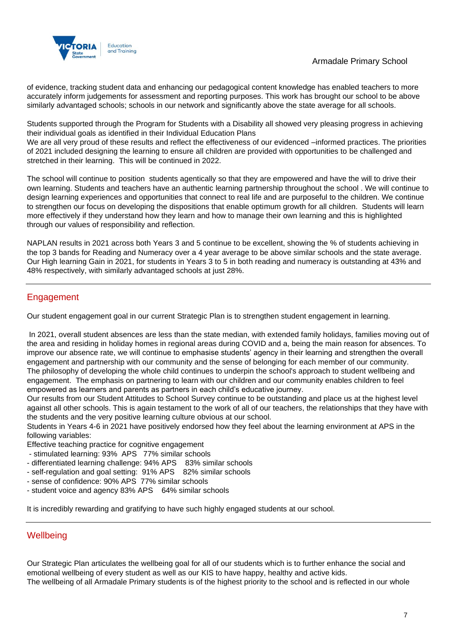## Armadale Primary School



of evidence, tracking student data and enhancing our pedagogical content knowledge has enabled teachers to more accurately inform judgements for assessment and reporting purposes. This work has brought our school to be above similarly advantaged schools; schools in our network and significantly above the state average for all schools.

Students supported through the Program for Students with a Disability all showed very pleasing progress in achieving their individual goals as identified in their Individual Education Plans

We are all very proud of these results and reflect the effectiveness of our evidenced –informed practices. The priorities of 2021 included designing the learning to ensure all children are provided with opportunities to be challenged and stretched in their learning. This will be continued in 2022.

The school will continue to position students agentically so that they are empowered and have the will to drive their own learning. Students and teachers have an authentic learning partnership throughout the school . We will continue to design learning experiences and opportunities that connect to real life and are purposeful to the children. We continue to strengthen our focus on developing the dispositions that enable optimum growth for all children. Students will learn more effectively if they understand how they learn and how to manage their own learning and this is highlighted through our values of responsibility and reflection.

NAPLAN results in 2021 across both Years 3 and 5 continue to be excellent, showing the % of students achieving in the top 3 bands for Reading and Numeracy over a 4 year average to be above similar schools and the state average. Our High learning Gain in 2021, for students in Years 3 to 5 in both reading and numeracy is outstanding at 43% and 48% respectively, with similarly advantaged schools at just 28%.

## **Engagement**

Our student engagement goal in our current Strategic Plan is to strengthen student engagement in learning.

In 2021, overall student absences are less than the state median, with extended family holidays, families moving out of the area and residing in holiday homes in regional areas during COVID and a, being the main reason for absences. To improve our absence rate, we will continue to emphasise students' agency in their learning and strengthen the overall engagement and partnership with our community and the sense of belonging for each member of our community. The philosophy of developing the whole child continues to underpin the school's approach to student wellbeing and engagement. The emphasis on partnering to learn with our children and our community enables children to feel empowered as learners and parents as partners in each child's educative journey.

Our results from our Student Attitudes to School Survey continue to be outstanding and place us at the highest level against all other schools. This is again testament to the work of all of our teachers, the relationships that they have with the students and the very positive learning culture obvious at our school.

Students in Years 4-6 in 2021 have positively endorsed how they feel about the learning environment at APS in the following variables:

Effective teaching practice for cognitive engagement

- stimulated learning: 93% APS 77% similar schools
- differentiated learning challenge: 94% APS 83% similar schools
- self-regulation and goal setting: 91% APS 82% similar schools
- sense of confidence: 90% APS 77% similar schools
- student voice and agency 83% APS 64% similar schools

It is incredibly rewarding and gratifying to have such highly engaged students at our school.

## **Wellbeing**

Our Strategic Plan articulates the wellbeing goal for all of our students which is to further enhance the social and emotional wellbeing of every student as well as our KIS to have happy, healthy and active kids. The wellbeing of all Armadale Primary students is of the highest priority to the school and is reflected in our whole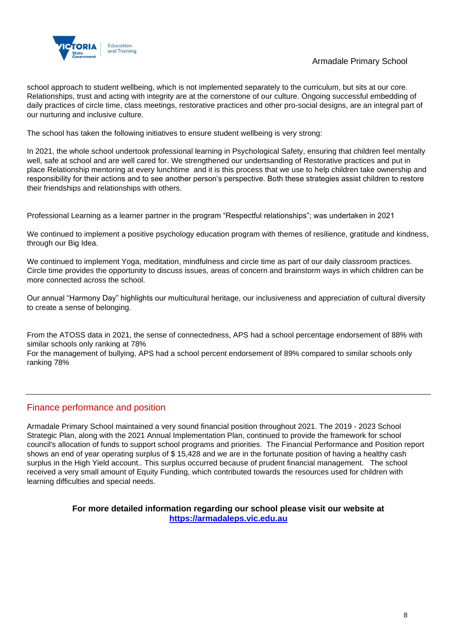

## Armadale Primary School

school approach to student wellbeing, which is not implemented separately to the curriculum, but sits at our core. Relationships, trust and acting with integrity are at the cornerstone of our culture. Ongoing successful embedding of daily practices of circle time, class meetings, restorative practices and other pro-social designs, are an integral part of our nurturing and inclusive culture.

The school has taken the following initiatives to ensure student wellbeing is very strong:

In 2021, the whole school undertook professional learning in Psychological Safety, ensuring that children feel mentally well, safe at school and are well cared for. We strengthened our undertsanding of Restorative practices and put in place Relationship mentoring at every lunchtime and it is this process that we use to help children take ownership and responsibility for their actions and to see another person's perspective. Both these strategies assist children to restore their friendships and relationships with others.

Professional Learning as a learner partner in the program "Respectful relationships"; was undertaken in 2021

We continued to implement a positive psychology education program with themes of resilience, gratitude and kindness, through our Big Idea.

We continued to implement Yoga, meditation, mindfulness and circle time as part of our daily classroom practices. Circle time provides the opportunity to discuss issues, areas of concern and brainstorm ways in which children can be more connected across the school.

Our annual "Harmony Day" highlights our multicultural heritage, our inclusiveness and appreciation of cultural diversity to create a sense of belonging.

From the ATOSS data in 2021, the sense of connectedness, APS had a school percentage endorsement of 88% with similar schools only ranking at 78%

For the management of bullying, APS had a school percent endorsement of 89% compared to similar schools only ranking 78%

## Finance performance and position

Armadale Primary School maintained a very sound financial position throughout 2021. The 2019 - 2023 School Strategic Plan, along with the 2021 Annual Implementation Plan, continued to provide the framework for school council's allocation of funds to support school programs and priorities. The Financial Performance and Position report shows an end of year operating surplus of \$ 15,428 and we are in the fortunate position of having a healthy cash surplus in the High Yield account.. This surplus occurred because of prudent financial management. The school received a very small amount of Equity Funding, which contributed towards the resources used for children with learning difficulties and special needs.

> **For more detailed information regarding our school please visit our website at [https://armadaleps.vic.edu.au](https://armadaleps.vic.edu.au/)**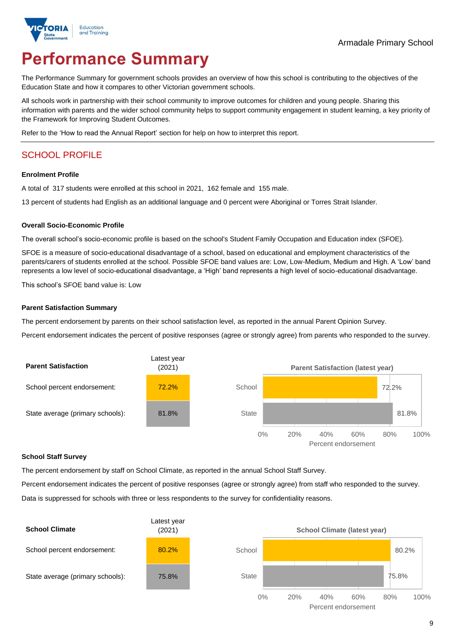

# **Performance Summary**

The Performance Summary for government schools provides an overview of how this school is contributing to the objectives of the Education State and how it compares to other Victorian government schools.

All schools work in partnership with their school community to improve outcomes for children and young people. Sharing this information with parents and the wider school community helps to support community engagement in student learning, a key priority of the Framework for Improving Student Outcomes.

Refer to the 'How to read the Annual Report' section for help on how to interpret this report.

## SCHOOL PROFILE

### **Enrolment Profile**

A total of 317 students were enrolled at this school in 2021, 162 female and 155 male.

13 percent of students had English as an additional language and 0 percent were Aboriginal or Torres Strait Islander.

### **Overall Socio-Economic Profile**

The overall school's socio-economic profile is based on the school's Student Family Occupation and Education index (SFOE).

SFOE is a measure of socio-educational disadvantage of a school, based on educational and employment characteristics of the parents/carers of students enrolled at the school. Possible SFOE band values are: Low, Low-Medium, Medium and High. A 'Low' band represents a low level of socio-educational disadvantage, a 'High' band represents a high level of socio-educational disadvantage.

This school's SFOE band value is: Low

### **Parent Satisfaction Summary**

The percent endorsement by parents on their school satisfaction level, as reported in the annual Parent Opinion Survey.

Percent endorsement indicates the percent of positive responses (agree or strongly agree) from parents who responded to the survey.



#### **School Staff Survey**

The percent endorsement by staff on School Climate, as reported in the annual School Staff Survey.

Percent endorsement indicates the percent of positive responses (agree or strongly agree) from staff who responded to the survey. Data is suppressed for schools with three or less respondents to the survey for confidentiality reasons.

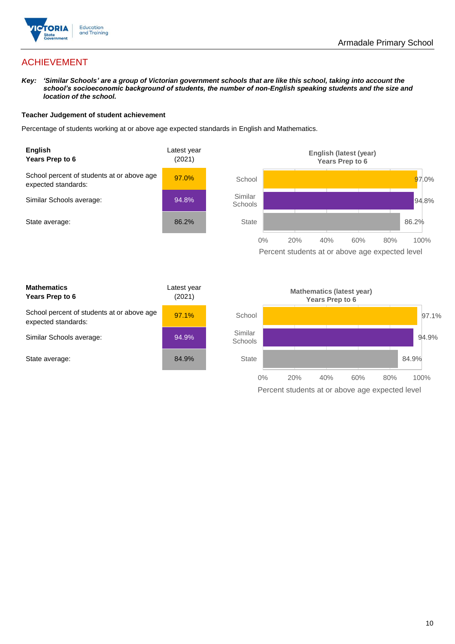

## ACHIEVEMENT

*Key: 'Similar Schools' are a group of Victorian government schools that are like this school, taking into account the school's socioeconomic background of students, the number of non-English speaking students and the size and location of the school.*

### **Teacher Judgement of student achievement**

Percentage of students working at or above age expected standards in English and Mathematics.





| <b>Mathematics</b><br>Years Prep to 6                             | Latest year<br>(2021) |
|-------------------------------------------------------------------|-----------------------|
| School percent of students at or above age<br>expected standards: | 97.1%                 |
| Similar Schools average:                                          | 94.9%                 |
| State average:                                                    | 84.9%                 |

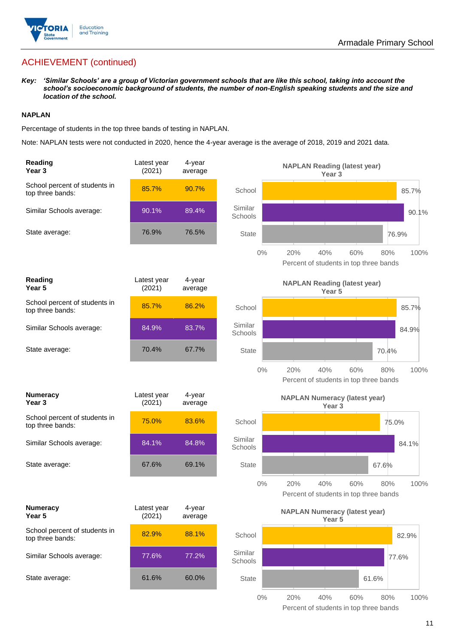

## ACHIEVEMENT (continued)

*Key: 'Similar Schools' are a group of Victorian government schools that are like this school, taking into account the school's socioeconomic background of students, the number of non-English speaking students and the size and location of the school.*

### **NAPLAN**

Percentage of students in the top three bands of testing in NAPLAN.

Note: NAPLAN tests were not conducted in 2020, hence the 4-year average is the average of 2018, 2019 and 2021 data.

| Reading<br>Year <sub>3</sub>                      | Latest year<br>(2021) | 4-year<br>average |                    | <b>NAPLAN Reading (latest year)</b><br>Year <sub>3</sub>                   |
|---------------------------------------------------|-----------------------|-------------------|--------------------|----------------------------------------------------------------------------|
| School percent of students in<br>top three bands: | 85.7%                 | 90.7%             | School             | 85.7%                                                                      |
| Similar Schools average:                          | 90.1%                 | 89.4%             | Similar<br>Schools | 90.1%                                                                      |
| State average:                                    | 76.9%                 | 76.5%             | <b>State</b>       | 76.9%                                                                      |
|                                                   |                       |                   | $0\%$              | 20%<br>40%<br>60%<br>100%<br>80%<br>Percent of students in top three bands |
| Reading<br>Year 5                                 | Latest year<br>(2021) | 4-year<br>average |                    | <b>NAPLAN Reading (latest year)</b><br>Year <sub>5</sub>                   |
| School percent of students in<br>top three bands: | 85.7%                 | 86.2%             | School             | 85.7%                                                                      |
| Similar Schools average:                          | 84.9%                 | 83.7%             | Similar<br>Schools | 84.9%                                                                      |
| State average:                                    | 70.4%                 | 67.7%             | <b>State</b>       | 70.4%                                                                      |
|                                                   |                       |                   | $0\%$              | 20%<br>40%<br>60%<br>80%<br>100%<br>Percent of students in top three bands |
| <b>Numeracy</b><br>Year <sub>3</sub>              | Latest year<br>(2021) | 4-year<br>average |                    | <b>NAPLAN Numeracy (latest year)</b><br>Year <sub>3</sub>                  |
| School percent of students in<br>top three bands: | 75.0%                 | 83.6%             | School             | 75.0%                                                                      |
| Similar Schools average:                          | 84.1%                 | 84.8%             | Similar<br>Schools | 84.1%                                                                      |
| State average:                                    | 67.6%                 | 69.1%             | <b>State</b>       | 67.6%                                                                      |
|                                                   |                       |                   | 0%                 | 20%<br>40%<br>60%<br>80%<br>100%<br>Percent of students in top three bands |
| <b>Numeracy</b><br>Year 5                         | Latest year<br>(2021) | 4-year<br>average |                    | <b>NAPLAN Numeracy (latest year)</b><br>Year 5                             |
| School percent of students in<br>top three bands: | 82.9%                 | 88.1%             | School             | 82.9%                                                                      |
| Similar Schools average:                          | 77.6%                 | 77.2%             | Similar<br>Schools | 77.6%                                                                      |
| State average:                                    | 61.6%                 | 60.0%             | State              | 61.6%                                                                      |
|                                                   |                       |                   | $0\%$              | 20%<br>40%<br>60%<br>80%<br>100%                                           |

Percent of students in top three bands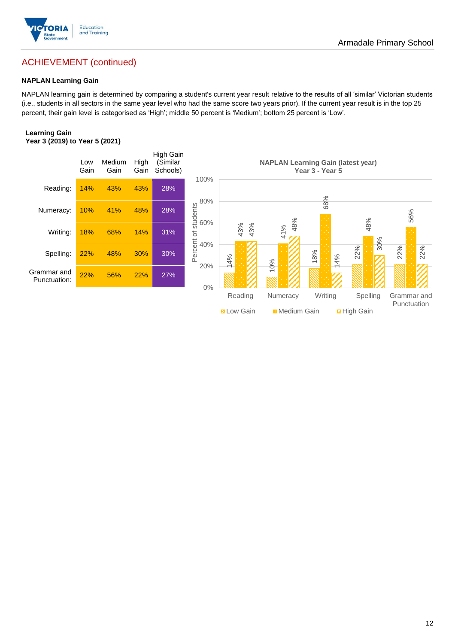

## ACHIEVEMENT (continued)

### **NAPLAN Learning Gain**

NAPLAN learning gain is determined by comparing a student's current year result relative to the results of all 'similar' Victorian students (i.e., students in all sectors in the same year level who had the same score two years prior). If the current year result is in the top 25 percent, their gain level is categorised as 'High'; middle 50 percent is 'Medium'; bottom 25 percent is 'Low'.

### **Learning Gain Year 3 (2019) to Year 5 (2021)**



**N** Low Gain **Medium Gain High Gain**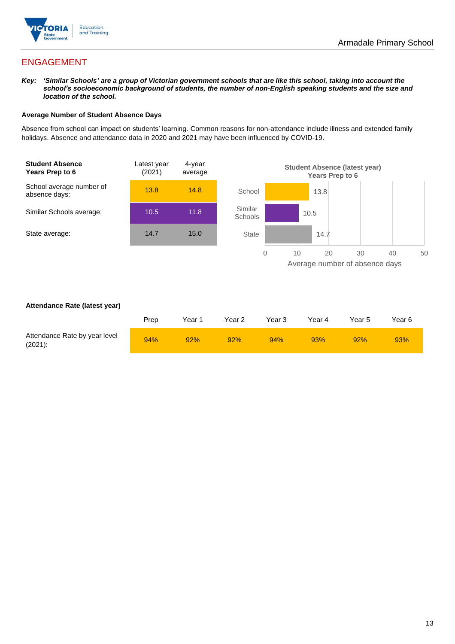

## ENGAGEMENT

*Key: 'Similar Schools' are a group of Victorian government schools that are like this school, taking into account the school's socioeconomic background of students, the number of non-English speaking students and the size and location of the school.*

### **Average Number of Student Absence Days**

Absence from school can impact on students' learning. Common reasons for non-attendance include illness and extended family holidays. Absence and attendance data in 2020 and 2021 may have been influenced by COVID-19.



### **Attendance Rate (latest year)**

|                                             | Prep | Year 1 | Year 2 | Year 3 | Year 4 | Year 5 | Year 6 |
|---------------------------------------------|------|--------|--------|--------|--------|--------|--------|
| Attendance Rate by year level<br>$(2021)$ : | 94%  | 92%    | 92%    | 94%    | 93%    | 92%    | 93%    |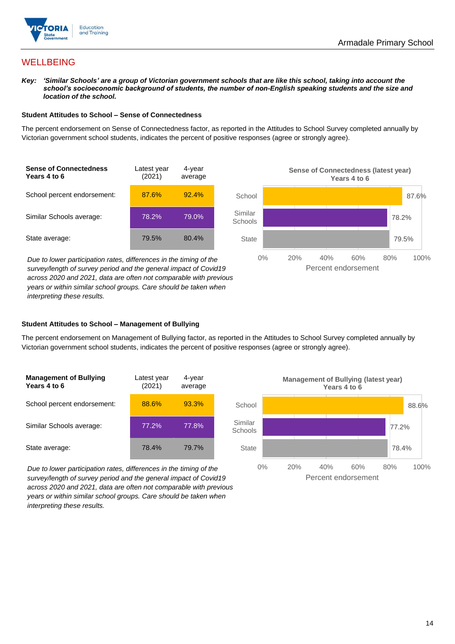

## **WELLBEING**

*Key: 'Similar Schools' are a group of Victorian government schools that are like this school, taking into account the school's socioeconomic background of students, the number of non-English speaking students and the size and location of the school.*

### **Student Attitudes to School – Sense of Connectedness**

The percent endorsement on Sense of Connectedness factor, as reported in the Attitudes to School Survey completed annually by Victorian government school students, indicates the percent of positive responses (agree or strongly agree).

| <b>Sense of Connectedness</b><br>Years 4 to 6 | Latest year<br>(2021) | 4-year<br>average |
|-----------------------------------------------|-----------------------|-------------------|
| School percent endorsement:                   | 87.6%                 | 92.4%             |
| Similar Schools average:                      | 78.2%                 | 79.0%             |
| State average:                                | 79.5%                 | 80.4%             |

*Due to lower participation rates, differences in the timing of the survey/length of survey period and the general impact of Covid19 across 2020 and 2021, data are often not comparable with previous years or within similar school groups. Care should be taken when interpreting these results.*



### **Student Attitudes to School – Management of Bullying**

The percent endorsement on Management of Bullying factor, as reported in the Attitudes to School Survey completed annually by Victorian government school students, indicates the percent of positive responses (agree or strongly agree).

| <b>Management of Bullying</b><br>Years 4 to 6 | Latest year<br>(2021) | 4-year<br>average |  |
|-----------------------------------------------|-----------------------|-------------------|--|
| School percent endorsement:                   | 88.6%                 | 93.3%             |  |
| Similar Schools average:                      | 77.2%                 | 77.8%             |  |
| State average:                                | 78.4%                 | 79.7%             |  |

*Due to lower participation rates, differences in the timing of the survey/length of survey period and the general impact of Covid19 across 2020 and 2021, data are often not comparable with previous years or within similar school groups. Care should be taken when interpreting these results.*

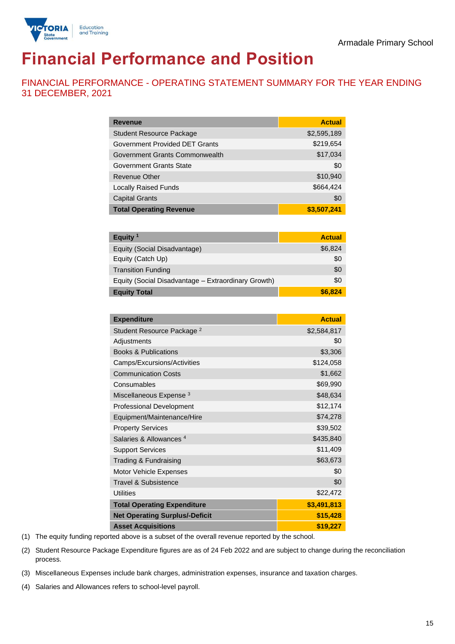

# **Financial Performance and Position**

FINANCIAL PERFORMANCE - OPERATING STATEMENT SUMMARY FOR THE YEAR ENDING 31 DECEMBER, 2021

| <b>Revenue</b>                  | <b>Actual</b> |
|---------------------------------|---------------|
| <b>Student Resource Package</b> | \$2,595,189   |
| Government Provided DET Grants  | \$219,654     |
| Government Grants Commonwealth  | \$17,034      |
| Government Grants State         | \$0           |
| <b>Revenue Other</b>            | \$10,940      |
| <b>Locally Raised Funds</b>     | \$664,424     |
| <b>Capital Grants</b>           | \$0           |
| <b>Total Operating Revenue</b>  | \$3,507,241   |

| Equity <sup>1</sup>                                 | <b>Actual</b> |
|-----------------------------------------------------|---------------|
| Equity (Social Disadvantage)                        | \$6,824       |
| Equity (Catch Up)                                   | \$0           |
| <b>Transition Funding</b>                           | \$0           |
| Equity (Social Disadvantage - Extraordinary Growth) | \$0           |
| <b>Equity Total</b>                                 | \$6,824       |

| <b>Expenditure</b>                    | <b>Actual</b> |
|---------------------------------------|---------------|
| Student Resource Package <sup>2</sup> | \$2,584,817   |
| Adjustments                           | \$0           |
| <b>Books &amp; Publications</b>       | \$3,306       |
| Camps/Excursions/Activities           | \$124,058     |
| <b>Communication Costs</b>            | \$1,662       |
| Consumables                           | \$69,990      |
| Miscellaneous Expense <sup>3</sup>    | \$48,634      |
| <b>Professional Development</b>       | \$12,174      |
| Equipment/Maintenance/Hire            | \$74,278      |
| <b>Property Services</b>              | \$39,502      |
| Salaries & Allowances <sup>4</sup>    | \$435,840     |
| <b>Support Services</b>               | \$11,409      |
| Trading & Fundraising                 | \$63,673      |
| Motor Vehicle Expenses                | \$0           |
| <b>Travel &amp; Subsistence</b>       | \$0           |
| <b>Utilities</b>                      | \$22,472      |
| <b>Total Operating Expenditure</b>    | \$3,491,813   |
| <b>Net Operating Surplus/-Deficit</b> | \$15,428      |
| <b>Asset Acquisitions</b>             | \$19,227      |

(1) The equity funding reported above is a subset of the overall revenue reported by the school.

(2) Student Resource Package Expenditure figures are as of 24 Feb 2022 and are subject to change during the reconciliation process.

(3) Miscellaneous Expenses include bank charges, administration expenses, insurance and taxation charges.

(4) Salaries and Allowances refers to school-level payroll.